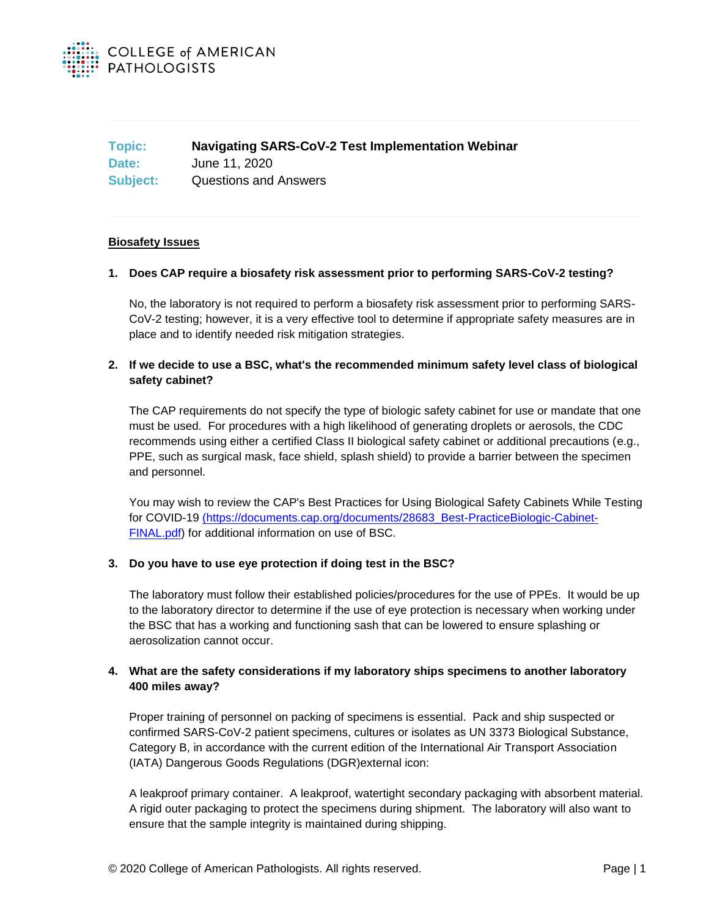

**Topic: Navigating SARS-CoV-2 Test Implementation Webinar Date:** June 11, 2020 **Subject:** Questions and Answers

### **Biosafety Issues**

### **1. Does CAP require a biosafety risk assessment prior to performing SARS-CoV-2 testing?**

No, the laboratory is not required to perform a biosafety risk assessment prior to performing SARS-CoV-2 testing; however, it is a very effective tool to determine if appropriate safety measures are in place and to identify needed risk mitigation strategies.

### **2. If we decide to use a BSC, what's the recommended minimum safety level class of biological safety cabinet?**

The CAP requirements do not specify the type of biologic safety cabinet for use or mandate that one must be used. For procedures with a high likelihood of generating droplets or aerosols, the CDC recommends using either a certified Class II biological safety cabinet or additional precautions (e.g., PPE, such as surgical mask, face shield, splash shield) to provide a barrier between the specimen and personnel.

You may wish to review the CAP's Best Practices for Using Biological Safety Cabinets While Testing for COVID-19 [\(https://documents.cap.org/documents/28683\\_Best-PracticeBiologic-Cabinet-]((https:/documents.cap.org/documents/28683_Best-PracticeBiologic-Cabinet-FINAL.pdf)[FINAL.pdf\)]((https:/documents.cap.org/documents/28683_Best-PracticeBiologic-Cabinet-FINAL.pdf) for additional information on use of BSC.

### **3. Do you have to use eye protection if doing test in the BSC?**

The laboratory must follow their established policies/procedures for the use of PPEs. It would be up to the laboratory director to determine if the use of eye protection is necessary when working under the BSC that has a working and functioning sash that can be lowered to ensure splashing or aerosolization cannot occur.

# **4. What are the safety considerations if my laboratory ships specimens to another laboratory 400 miles away?**

Proper training of personnel on packing of specimens is essential. Pack and ship suspected or confirmed SARS-CoV-2 patient specimens, cultures or isolates as UN 3373 Biological Substance, Category B, in accordance with the current edition of the International Air Transport Association (IATA) Dangerous Goods Regulations (DGR)external icon:

A leakproof primary container. A leakproof, watertight secondary packaging with absorbent material. A rigid outer packaging to protect the specimens during shipment. The laboratory will also want to ensure that the sample integrity is maintained during shipping.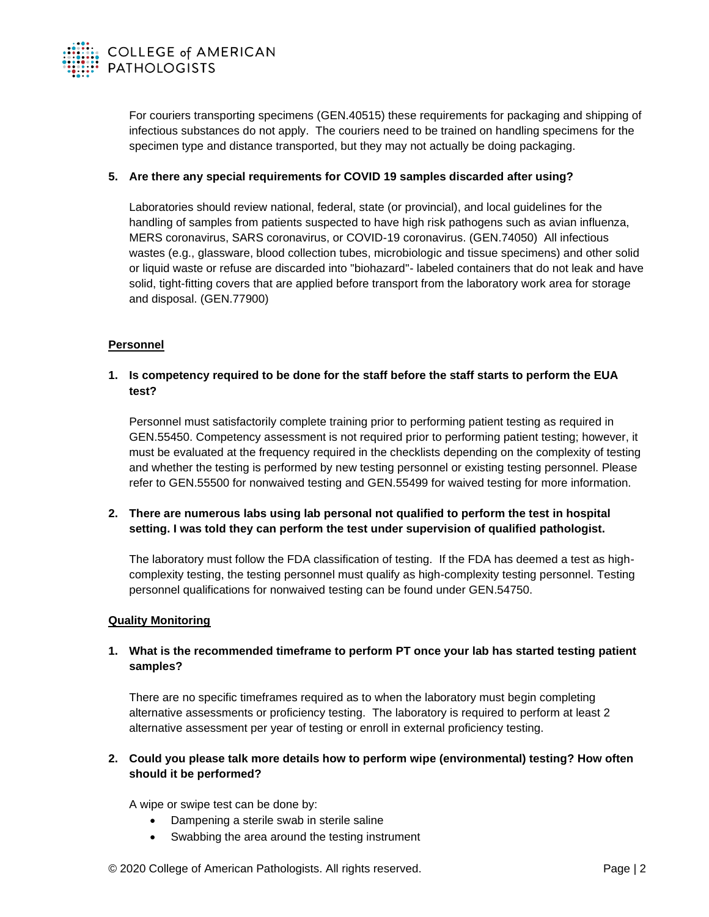

For couriers transporting specimens (GEN.40515) these requirements for packaging and shipping of infectious substances do not apply. The couriers need to be trained on handling specimens for the specimen type and distance transported, but they may not actually be doing packaging.

### **5. Are there any special requirements for COVID 19 samples discarded after using?**

Laboratories should review national, federal, state (or provincial), and local guidelines for the handling of samples from patients suspected to have high risk pathogens such as avian influenza, MERS coronavirus, SARS coronavirus, or COVID-19 coronavirus. (GEN.74050) All infectious wastes (e.g., glassware, blood collection tubes, microbiologic and tissue specimens) and other solid or liquid waste or refuse are discarded into "biohazard"- labeled containers that do not leak and have solid, tight-fitting covers that are applied before transport from the laboratory work area for storage and disposal. (GEN.77900)

### **Personnel**

## **1. Is competency required to be done for the staff before the staff starts to perform the EUA test?**

Personnel must satisfactorily complete training prior to performing patient testing as required in GEN.55450. Competency assessment is not required prior to performing patient testing; however, it must be evaluated at the frequency required in the checklists depending on the complexity of testing and whether the testing is performed by new testing personnel or existing testing personnel. Please refer to GEN.55500 for nonwaived testing and GEN.55499 for waived testing for more information.

## **2. There are numerous labs using lab personal not qualified to perform the test in hospital setting. I was told they can perform the test under supervision of qualified pathologist.**

The laboratory must follow the FDA classification of testing. If the FDA has deemed a test as highcomplexity testing, the testing personnel must qualify as high-complexity testing personnel. Testing personnel qualifications for nonwaived testing can be found under GEN.54750.

### **Quality Monitoring**

## **1. What is the recommended timeframe to perform PT once your lab has started testing patient samples?**

There are no specific timeframes required as to when the laboratory must begin completing alternative assessments or proficiency testing. The laboratory is required to perform at least 2 alternative assessment per year of testing or enroll in external proficiency testing.

# **2. Could you please talk more details how to perform wipe (environmental) testing? How often should it be performed?**

A wipe or swipe test can be done by:

- Dampening a sterile swab in sterile saline
- Swabbing the area around the testing instrument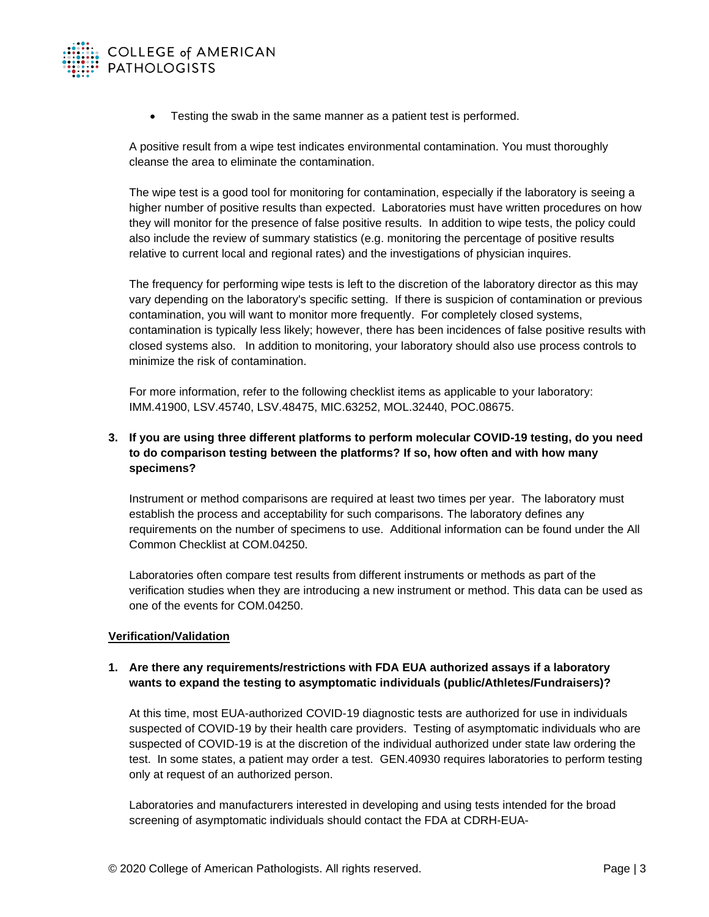

• Testing the swab in the same manner as a patient test is performed.

A positive result from a wipe test indicates environmental contamination. You must thoroughly cleanse the area to eliminate the contamination.

The wipe test is a good tool for monitoring for contamination, especially if the laboratory is seeing a higher number of positive results than expected. Laboratories must have written procedures on how they will monitor for the presence of false positive results. In addition to wipe tests, the policy could also include the review of summary statistics (e.g. monitoring the percentage of positive results relative to current local and regional rates) and the investigations of physician inquires.

The frequency for performing wipe tests is left to the discretion of the laboratory director as this may vary depending on the laboratory's specific setting. If there is suspicion of contamination or previous contamination, you will want to monitor more frequently. For completely closed systems, contamination is typically less likely; however, there has been incidences of false positive results with closed systems also. In addition to monitoring, your laboratory should also use process controls to minimize the risk of contamination.

For more information, refer to the following checklist items as applicable to your laboratory: IMM.41900, LSV.45740, LSV.48475, MIC.63252, MOL.32440, POC.08675.

# **3. If you are using three different platforms to perform molecular COVID-19 testing, do you need to do comparison testing between the platforms? If so, how often and with how many specimens?**

Instrument or method comparisons are required at least two times per year. The laboratory must establish the process and acceptability for such comparisons. The laboratory defines any requirements on the number of specimens to use. Additional information can be found under the All Common Checklist at COM.04250.

Laboratories often compare test results from different instruments or methods as part of the verification studies when they are introducing a new instrument or method. This data can be used as one of the events for COM.04250.

### **Verification/Validation**

### **1. Are there any requirements/restrictions with FDA EUA authorized assays if a laboratory wants to expand the testing to asymptomatic individuals (public/Athletes/Fundraisers)?**

At this time, most EUA-authorized COVID-19 diagnostic tests are authorized for use in individuals suspected of COVID-19 by their health care providers. Testing of asymptomatic individuals who are suspected of COVID-19 is at the discretion of the individual authorized under state law ordering the test. In some states, a patient may order a test. GEN.40930 requires laboratories to perform testing only at request of an authorized person.

Laboratories and manufacturers interested in developing and using tests intended for the broad screening of asymptomatic individuals should contact the FDA at CDRH-EUA-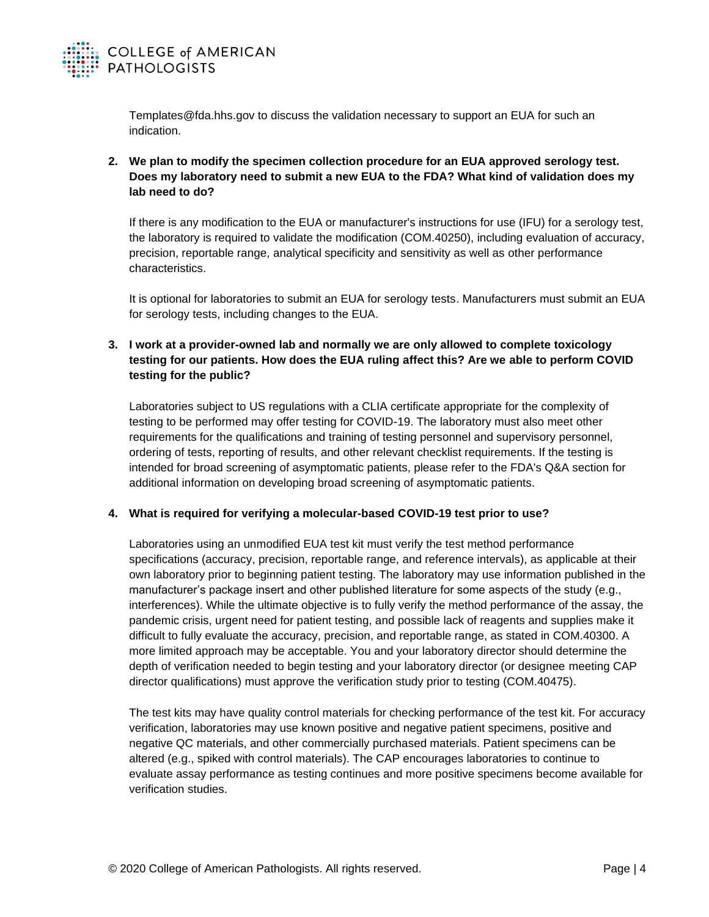

Templates@fda.hhs.gov to discuss the validation necessary to support an EUA for such an indication.

**2. We plan to modify the specimen collection procedure for an EUA approved serology test. Does my laboratory need to submit a new EUA to the FDA? What kind of validation does my lab need to do?**

If there is any modification to the EUA or manufacturer's instructions for use (IFU) for a serology test, the laboratory is required to validate the modification (COM.40250), including evaluation of accuracy, precision, reportable range, analytical specificity and sensitivity as well as other performance characteristics.

It is optional for laboratories to submit an EUA for serology tests. Manufacturers must submit an EUA for serology tests, including changes to the EUA.

# **3. I work at a provider-owned lab and normally we are only allowed to complete toxicology testing for our patients. How does the EUA ruling affect this? Are we able to perform COVID testing for the public?**

Laboratories subject to US regulations with a CLIA certificate appropriate for the complexity of testing to be performed may offer testing for COVID-19. The laboratory must also meet other requirements for the qualifications and training of testing personnel and supervisory personnel, ordering of tests, reporting of results, and other relevant checklist requirements. If the testing is intended for broad screening of asymptomatic patients, please refer to the FDA's Q&A section for additional information on developing broad screening of asymptomatic patients.

## **4. What is required for verifying a molecular-based COVID-19 test prior to use?**

Laboratories using an unmodified EUA test kit must verify the test method performance specifications (accuracy, precision, reportable range, and reference intervals), as applicable at their own laboratory prior to beginning patient testing. The laboratory may use information published in the manufacturer's package insert and other published literature for some aspects of the study (e.g., interferences). While the ultimate objective is to fully verify the method performance of the assay, the pandemic crisis, urgent need for patient testing, and possible lack of reagents and supplies make it difficult to fully evaluate the accuracy, precision, and reportable range, as stated in COM.40300. A more limited approach may be acceptable. You and your laboratory director should determine the depth of verification needed to begin testing and your laboratory director (or designee meeting CAP director qualifications) must approve the verification study prior to testing (COM.40475).

The test kits may have quality control materials for checking performance of the test kit. For accuracy verification, laboratories may use known positive and negative patient specimens, positive and negative QC materials, and other commercially purchased materials. Patient specimens can be altered (e.g., spiked with control materials). The CAP encourages laboratories to continue to evaluate assay performance as testing continues and more positive specimens become available for verification studies.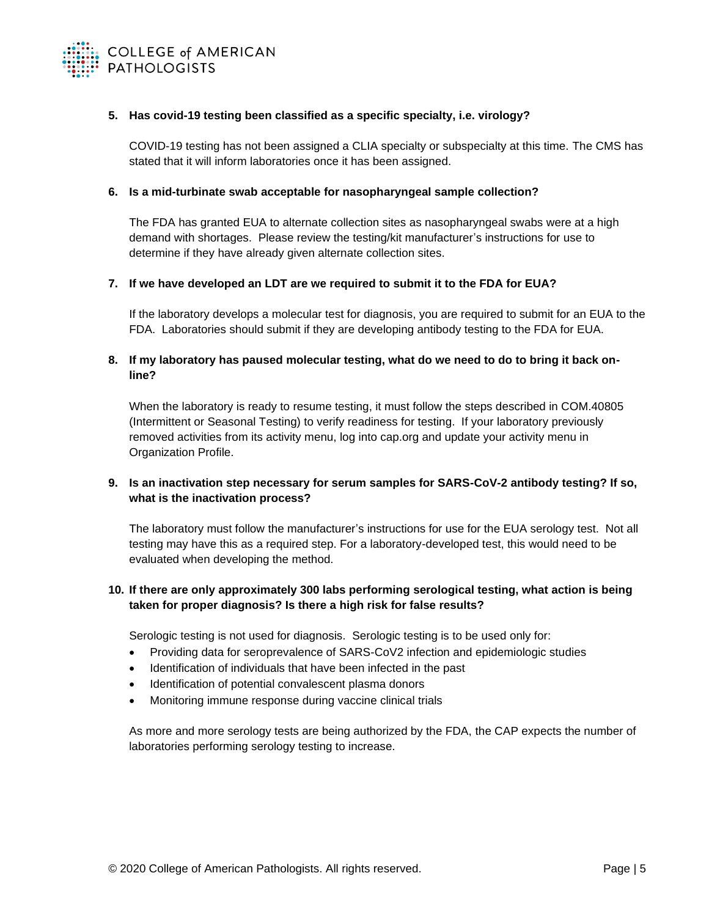

### **5. Has covid-19 testing been classified as a specific specialty, i.e. virology?**

COVID-19 testing has not been assigned a CLIA specialty or subspecialty at this time. The CMS has stated that it will inform laboratories once it has been assigned.

### **6. Is a mid-turbinate swab acceptable for nasopharyngeal sample collection?**

The FDA has granted EUA to alternate collection sites as nasopharyngeal swabs were at a high demand with shortages. Please review the testing/kit manufacturer's instructions for use to determine if they have already given alternate collection sites.

### **7. If we have developed an LDT are we required to submit it to the FDA for EUA?**

If the laboratory develops a molecular test for diagnosis, you are required to submit for an EUA to the FDA. Laboratories should submit if they are developing antibody testing to the FDA for EUA.

## **8. If my laboratory has paused molecular testing, what do we need to do to bring it back online?**

When the laboratory is ready to resume testing, it must follow the steps described in COM.40805 (Intermittent or Seasonal Testing) to verify readiness for testing. If your laboratory previously removed activities from its activity menu, log into cap.org and update your activity menu in Organization Profile.

## **9. Is an inactivation step necessary for serum samples for SARS-CoV-2 antibody testing? If so, what is the inactivation process?**

The laboratory must follow the manufacturer's instructions for use for the EUA serology test. Not all testing may have this as a required step. For a laboratory-developed test, this would need to be evaluated when developing the method.

## **10. If there are only approximately 300 labs performing serological testing, what action is being taken for proper diagnosis? Is there a high risk for false results?**

Serologic testing is not used for diagnosis. Serologic testing is to be used only for:

- Providing data for seroprevalence of SARS-CoV2 infection and epidemiologic studies
- Identification of individuals that have been infected in the past
- Identification of potential convalescent plasma donors
- Monitoring immune response during vaccine clinical trials

As more and more serology tests are being authorized by the FDA, the CAP expects the number of laboratories performing serology testing to increase.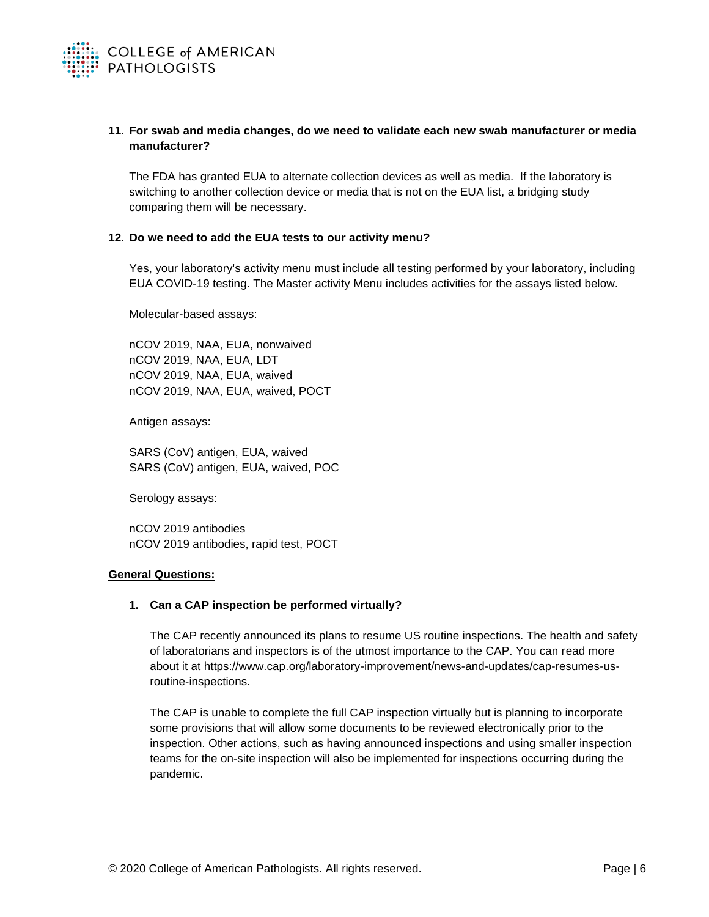

## **11. For swab and media changes, do we need to validate each new swab manufacturer or media manufacturer?**

The FDA has granted EUA to alternate collection devices as well as media. If the laboratory is switching to another collection device or media that is not on the EUA list, a bridging study comparing them will be necessary.

### **12. Do we need to add the EUA tests to our activity menu?**

Yes, your laboratory's activity menu must include all testing performed by your laboratory, including EUA COVID-19 testing. The Master activity Menu includes activities for the assays listed below.

Molecular-based assays:

nCOV 2019, NAA, EUA, nonwaived nCOV 2019, NAA, EUA, LDT nCOV 2019, NAA, EUA, waived nCOV 2019, NAA, EUA, waived, POCT

Antigen assays:

SARS (CoV) antigen, EUA, waived SARS (CoV) antigen, EUA, waived, POC

Serology assays:

nCOV 2019 antibodies nCOV 2019 antibodies, rapid test, POCT

### **General Questions:**

## **1. Can a CAP inspection be performed virtually?**

The CAP recently announced its plans to resume US routine inspections. The health and safety of laboratorians and inspectors is of the utmost importance to the CAP. You can read more about it at https://www.cap.org/laboratory-improvement/news-and-updates/cap-resumes-usroutine-inspections.

The CAP is unable to complete the full CAP inspection virtually but is planning to incorporate some provisions that will allow some documents to be reviewed electronically prior to the inspection. Other actions, such as having announced inspections and using smaller inspection teams for the on-site inspection will also be implemented for inspections occurring during the pandemic.